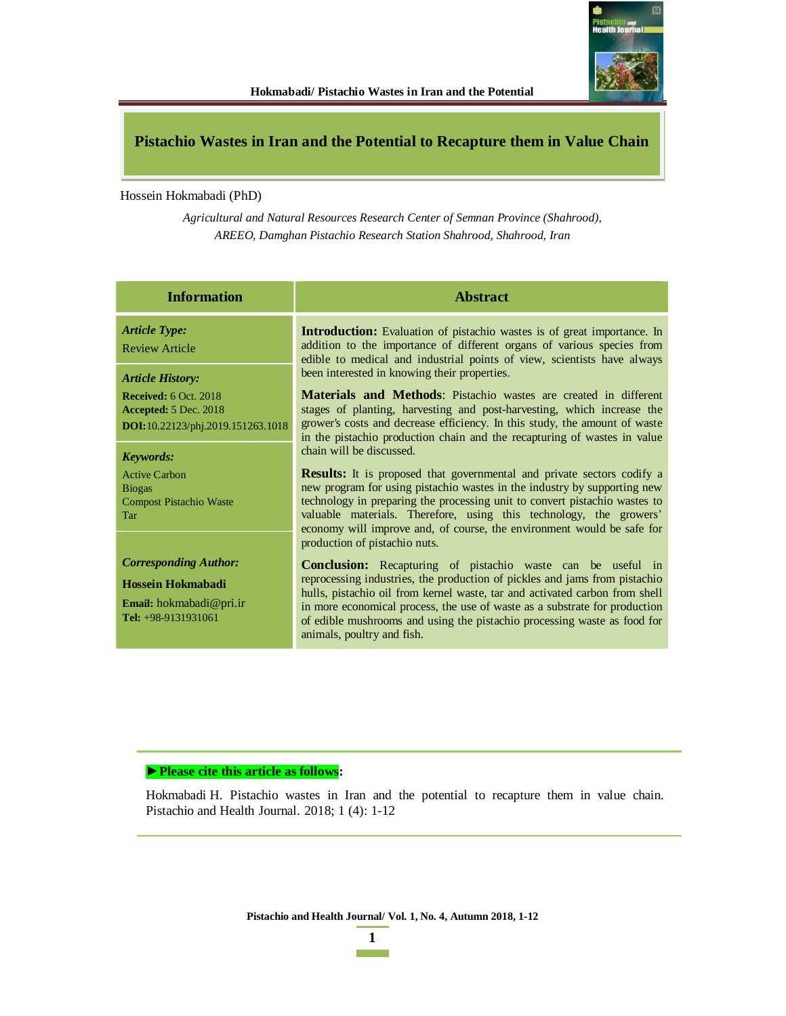

# **Pistachio Wastes in Iran and the Potential to Recapture them in Value Chain**

Hossein Hokmabadi (PhD)

*Agricultural and Natural Resources Research Center of Semnan Province (Shahrood), AREEO, Damghan Pistachio Research Station Shahrood, Shahrood, Iran* 

| <b>Information</b>                                                                                              | <b>Abstract</b>                                                                                                                                                                                                                                                                                                                                                                                                          |  |  |  |
|-----------------------------------------------------------------------------------------------------------------|--------------------------------------------------------------------------------------------------------------------------------------------------------------------------------------------------------------------------------------------------------------------------------------------------------------------------------------------------------------------------------------------------------------------------|--|--|--|
| <b>Article Type:</b><br><b>Review Article</b><br><b>Article History:</b>                                        | <b>Introduction:</b> Evaluation of pistachio wastes is of great importance. In<br>addition to the importance of different organs of various species from<br>edible to medical and industrial points of view, scientists have always<br>been interested in knowing their properties.                                                                                                                                      |  |  |  |
| Received: 6 Oct. 2018<br>Accepted: 5 Dec. 2018<br><b>DOI:</b> 10.22123/phj.2019.151263.1018<br><b>Keywords:</b> | <b>Materials and Methods:</b> Pistachio wastes are created in different<br>stages of planting, harvesting and post-harvesting, which increase the<br>grower's costs and decrease efficiency. In this study, the amount of waste<br>in the pistachio production chain and the recapturing of wastes in value<br>chain will be discussed.                                                                                  |  |  |  |
| <b>Active Carbon</b><br><b>Biogas</b><br><b>Compost Pistachio Waste</b><br><b>Tar</b>                           | <b>Results:</b> It is proposed that governmental and private sectors codify a<br>new program for using pistachio wastes in the industry by supporting new<br>technology in preparing the processing unit to convert pistachio wastes to<br>valuable materials. Therefore, using this technology, the growers'<br>economy will improve and, of course, the environment would be safe for<br>production of pistachio nuts. |  |  |  |
| <b>Corresponding Author:</b><br>Hossein Hokmabadi<br><b>Email:</b> hokmabadi@pri.ir<br>Tel: $+98-9131931061$    | <b>Conclusion:</b> Recapturing of pistachio waste can be useful in<br>reprocessing industries, the production of pickles and jams from pistachio<br>hulls, pistachio oil from kernel waste, tar and activated carbon from shell<br>in more economical process, the use of waste as a substrate for production<br>of edible mushrooms and using the pistachio processing waste as food for<br>animals, poultry and fish.  |  |  |  |

## ▶ Please cite this article as follows:

Hokmabadi H. Pistachio wastes in Iran and the potential to recapture them in value chain. Pistachio and Health Journal. 2018; 1 (4): 1-12

**Pistachio and Health Journal/ Vol. 1, No. 4, Autumn 2018, 1-12**

**1**   $\mathcal{L}(\mathcal{L})$  and  $\mathcal{L}(\mathcal{L})$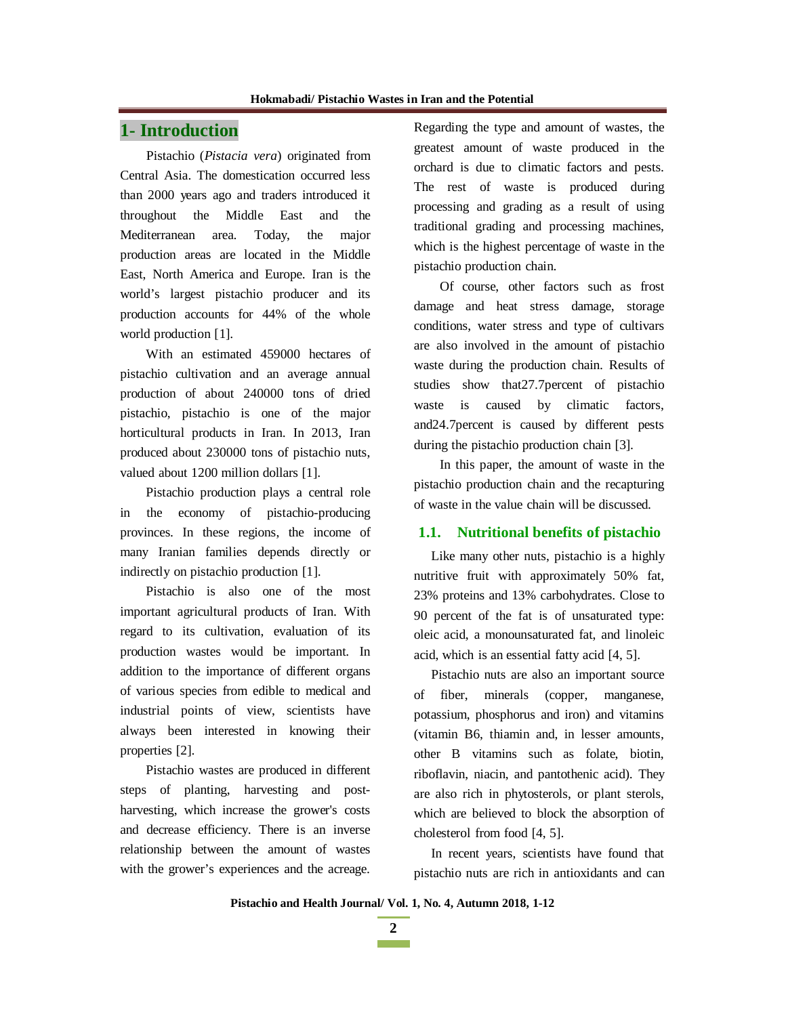# **1- Introduction**

Pistachio (*Pistacia vera*) originated from Central Asia. The domestication occurred less than 2000 years ago and traders introduced it throughout the Middle East and the Mediterranean area. Today, the major production areas are located in the Middle East, North America and Europe. Iran is the world's largest pistachio producer and its production accounts for 44% of the whole world production [1].

With an estimated 459000 hectares of pistachio cultivation and an average annual production of about 240000 tons of dried pistachio, pistachio is one of the major horticultural products in Iran. In 2013, Iran produced about 230000 tons of pistachio nuts, valued about 1200 million dollars [1].

Pistachio production plays a central role in the economy of pistachio-producing provinces. In these regions, the income of many Iranian families depends directly or indirectly on pistachio production [1].

Pistachio is also one of the most important agricultural products of Iran. With regard to its cultivation, evaluation of its production wastes would be important. In addition to the importance of different organs of various species from edible to medical and industrial points of view, scientists have always been interested in knowing their properties [2].

Pistachio wastes are produced in different steps of planting, harvesting and postharvesting, which increase the grower's costs and decrease efficiency. There is an inverse relationship between the amount of wastes with the grower's experiences and the acreage. Regarding the type and amount of wastes, the greatest amount of waste produced in the orchard is due to climatic factors and pests. The rest of waste is produced during processing and grading as a result of using traditional grading and processing machines, which is the highest percentage of waste in the pistachio production chain.

Of course, other factors such as frost damage and heat stress damage, storage conditions, water stress and type of cultivars are also involved in the amount of pistachio waste during the production chain. Results of studies show that27.7percent of pistachio waste is caused by climatic factors, and24.7percent is caused by different pests during the pistachio production chain [3].

In this paper, the amount of waste in the pistachio production chain and the recapturing of waste in the value chain will be discussed.

### **1.1. Nutritional benefits of pistachio**

Like many other nuts, pistachio is a highly nutritive fruit with approximately 50% fat, 23% proteins and 13% carbohydrates. Close to 90 percent of the fat is of unsaturated type: oleic acid, a monounsaturated fat, and linoleic acid, which is an essential fatty acid [4, 5].

Pistachio nuts are also an important source of fiber, minerals (copper, manganese, potassium, phosphorus and iron) and vitamins (vitamin B6, thiamin and, in lesser amounts, other B vitamins such as folate, biotin, riboflavin, niacin, and pantothenic acid). They are also rich in phytosterols, or plant sterols, which are believed to block the absorption of cholesterol from food [4, 5].

In recent years, scientists have found that pistachio nuts are rich in antioxidants and can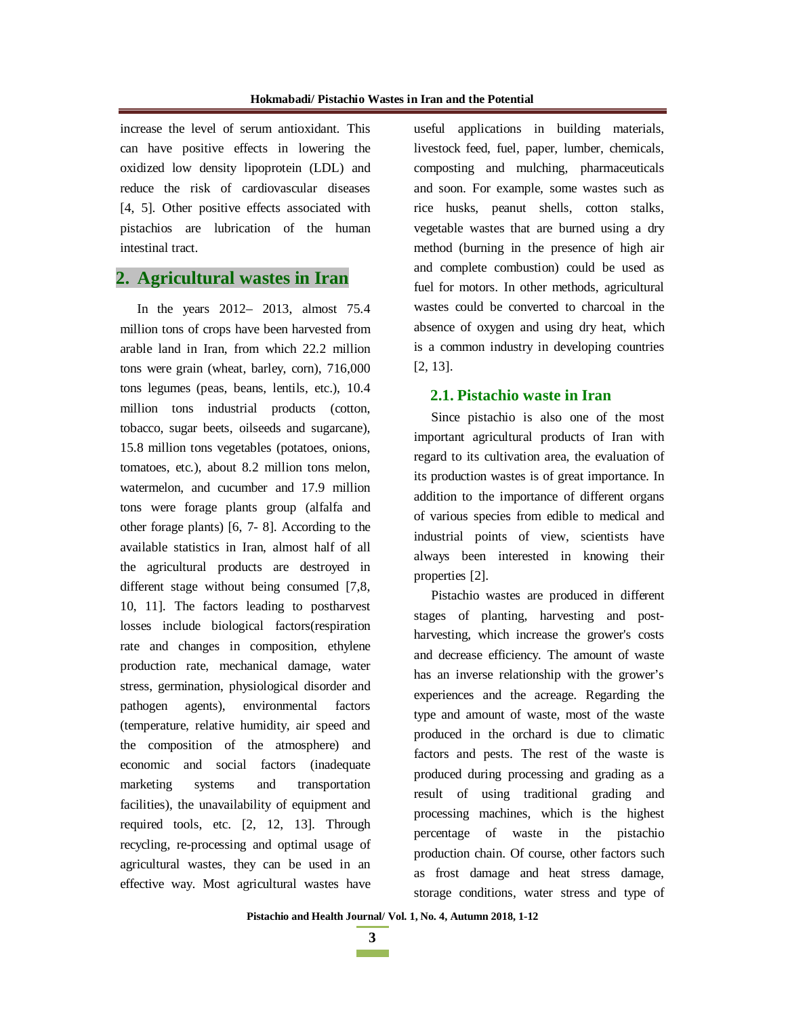increase the level of serum antioxidant. This can have positive effects in lowering the oxidized low density lipoprotein (LDL) and reduce the risk of cardiovascular diseases [4, 5]. Other positive effects associated with pistachios are lubrication of the human intestinal tract.

# **2. Agricultural wastes in Iran**

In the years 2012– 2013, almost 75.4 million tons of crops have been harvested from arable land in Iran, from which 22.2 million tons were grain (wheat, barley, corn), 716,000 tons legumes (peas, beans, lentils, etc.), 10.4 million tons industrial products (cotton, tobacco, sugar beets, oilseeds and sugarcane), 15.8 million tons vegetables (potatoes, onions, tomatoes, etc.), about 8.2 million tons melon, watermelon, and cucumber and 17.9 million tons were forage plants group (alfalfa and other forage plants) [6, 7- 8]. According to the available statistics in Iran, almost half of all the agricultural products are destroyed in different stage without being consumed [7,8, 10, 11]. The factors leading to postharvest losses include biological factors(respiration rate and changes in composition, ethylene production rate, mechanical damage, water stress, germination, physiological disorder and pathogen agents), environmental factors (temperature, relative humidity, air speed and the composition of the atmosphere) and economic and social factors (inadequate marketing systems and transportation facilities), the unavailability of equipment and required tools, etc. [2, 12, 13]. Through recycling, re-processing and optimal usage of agricultural wastes, they can be used in an effective way. Most agricultural wastes have

useful applications in building materials, livestock feed, fuel, paper, lumber, chemicals, composting and mulching, pharmaceuticals and soon. For example, some wastes such as rice husks, peanut shells, cotton stalks, vegetable wastes that are burned using a dry method (burning in the presence of high air and complete combustion) could be used as fuel for motors. In other methods, agricultural wastes could be converted to charcoal in the absence of oxygen and using dry heat, which is a common industry in developing countries [2, 13].

## **2.1. Pistachio waste in Iran**

Since pistachio is also one of the most important agricultural products of Iran with regard to its cultivation area, the evaluation of its production wastes is of great importance. In addition to the importance of different organs of various species from edible to medical and industrial points of view, scientists have always been interested in knowing their properties [2].

Pistachio wastes are produced in different stages of planting, harvesting and postharvesting, which increase the grower's costs and decrease efficiency. The amount of waste has an inverse relationship with the grower's experiences and the acreage. Regarding the type and amount of waste, most of the waste produced in the orchard is due to climatic factors and pests. The rest of the waste is produced during processing and grading as a result of using traditional grading and processing machines, which is the highest percentage of waste in the pistachio production chain. Of course, other factors such as frost damage and heat stress damage, storage conditions, water stress and type of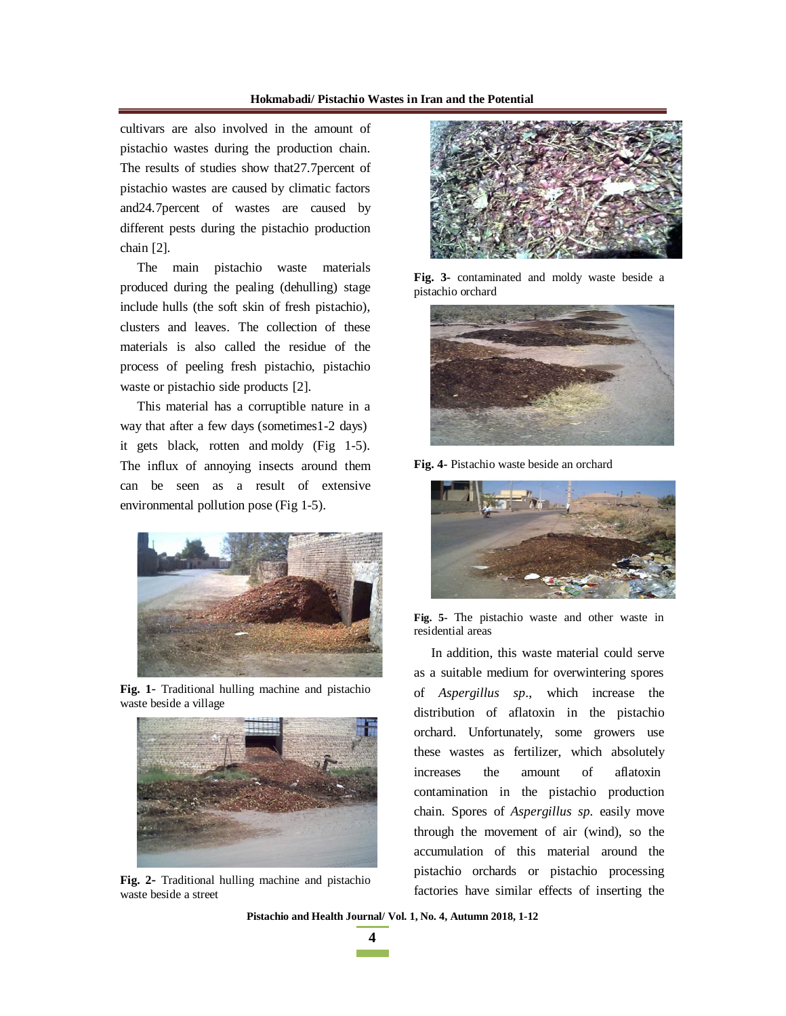#### **Hokmabadi/ Pistachio Wastes in Iran and the Potential**

cultivars are also involved in the amount of pistachio wastes during the production chain. The results of studies show that27.7percent of pistachio wastes are caused by climatic factors and24.7percent of wastes are caused by different pests during the pistachio production chain [2].

The main pistachio waste materials produced during the pealing (dehulling) stage include hulls (the soft skin of fresh pistachio), clusters and leaves. The collection of these materials is also called the residue of the process of peeling fresh pistachio, pistachio waste or pistachio side products [2].

This material has a corruptible nature in a way that after a few days (sometimes1-2 days) it gets black, rotten and moldy (Fig 1-5). The influx of annoying insects around them can be seen as a result of extensive environmental pollution pose (Fig 1-5).



**Fig. 1**- Traditional hulling machine and pistachio waste beside a village



**Fig. 2-** Traditional hulling machine and pistachio waste beside a street



**Fig. 3-** contaminated and moldy waste beside a pistachio orchard



**Fig. 4-** Pistachio waste beside an orchard



**Fig. 5-** The pistachio waste and other waste in residential areas

In addition, this waste material could serve as a suitable medium for overwintering spores of *Aspergillus sp*., which increase the distribution of aflatoxin in the pistachio orchard. Unfortunately, some growers use these wastes as fertilizer, which absolutely increases the amount of aflatoxin contamination in the pistachio production chain. Spores of *Aspergillus sp.* easily move through the movement of air (wind), so the accumulation of this material around the pistachio orchards or pistachio processing factories have similar effects of inserting the

**Pistachio and Health Journal/ Vol. 1, No. 4, Autumn 2018, 1-12**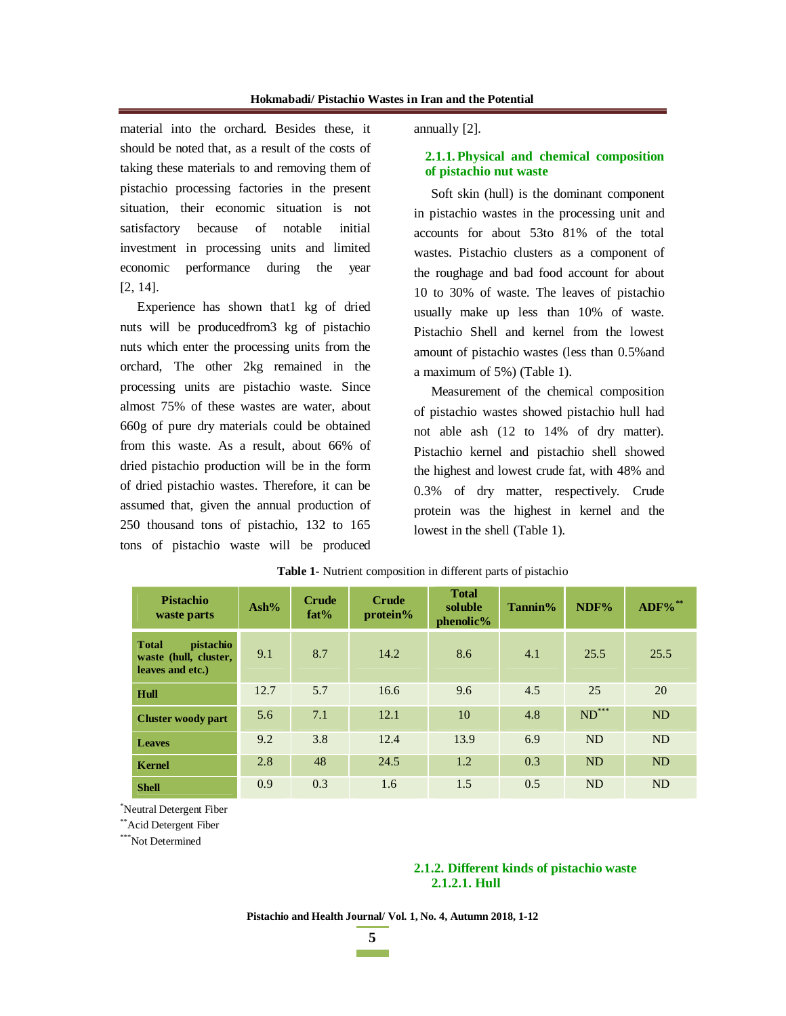material into the orchard. Besides these, it should be noted that, as a result of the costs of taking these materials to and removing them of pistachio processing factories in the present situation, their economic situation is not satisfactory because of notable initial investment in processing units and limited economic performance during the year [2, 14].

Experience has shown that1 kg of dried nuts will be producedfrom3 kg of pistachio nuts which enter the processing units from the orchard, The other 2kg remained in the processing units are pistachio waste. Since almost 75% of these wastes are water, about 660g of pure dry materials could be obtained from this waste. As a result, about 66% of dried pistachio production will be in the form of dried pistachio wastes. Therefore, it can be assumed that, given the annual production of 250 thousand tons of pistachio, 132 to 165 tons of pistachio waste will be produced

annually [2].

## **2.1.1. Physical and chemical composition of pistachio nut waste**

Soft skin (hull) is the dominant component in pistachio wastes in the processing unit and accounts for about 53to 81% of the total wastes. Pistachio clusters as a component of the roughage and bad food account for about 10 to 30% of waste. The leaves of pistachio usually make up less than 10% of waste. Pistachio Shell and kernel from the lowest amount of pistachio wastes (less than 0.5%and a maximum of 5%) (Table 1).

Measurement of the chemical composition of pistachio wastes showed pistachio hull had not able ash (12 to 14% of dry matter). Pistachio kernel and pistachio shell showed the highest and lowest crude fat, with 48% and 0.3% of dry matter, respectively. Crude protein was the highest in kernel and the lowest in the shell (Table 1).

| <b>Pistachio</b><br>waste parts                                               | Ash% | <b>Crude</b><br>fat% | <b>Crude</b><br>protein% | <b>Total</b><br>soluble<br>$phenolic\%$ | Tannin% | NDF%                | ADF%**    |
|-------------------------------------------------------------------------------|------|----------------------|--------------------------|-----------------------------------------|---------|---------------------|-----------|
| <b>Total</b><br><i>pistachio</i><br>waste (hull, cluster,<br>leaves and etc.) | 9.1  | 8.7                  | 14.2                     | 8.6                                     | 4.1     | 25.5                | 25.5      |
| Hull                                                                          | 12.7 | 5.7                  | 16.6                     | 9.6                                     | 4.5     | 25                  | 20        |
| <b>Cluster woody part</b>                                                     | 5.6  | 7.1                  | 12.1                     | 10                                      | 4.8     | $\mathrm{ND}^{***}$ | <b>ND</b> |
| <b>Leaves</b>                                                                 | 9.2  | 3.8                  | 12.4                     | 13.9                                    | 6.9     | <b>ND</b>           | ND        |
| <b>Kernel</b>                                                                 | 2.8  | 48                   | 24.5                     | 1.2                                     | 0.3     | <b>ND</b>           | <b>ND</b> |
| <b>Shell</b>                                                                  | 0.9  | 0.3                  | 1.6                      | 1.5                                     | 0.5     | <b>ND</b>           | <b>ND</b> |

**Table 1-** Nutrient composition in different parts of pistachio

\*Neutral Detergent Fiber

\*\*Acid Detergent Fiber

\*\*\*Not Determined

## **2.1.2. Different kinds of pistachio waste 2.1.2.1. Hull**

**Pistachio and Health Journal/ Vol. 1, No. 4, Autumn 2018, 1-12**

**5**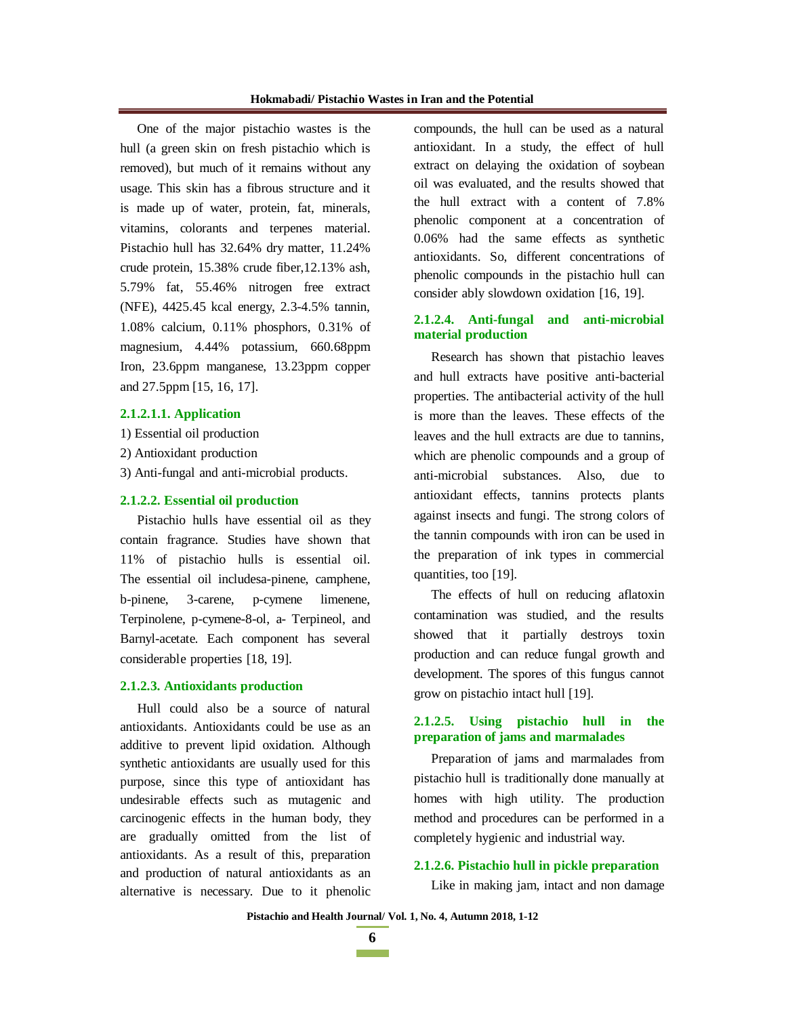One of the major pistachio wastes is the hull (a green skin on fresh pistachio which is removed), but much of it remains without any usage. This skin has a fibrous structure and it is made up of water, protein, fat, minerals, vitamins, colorants and terpenes material. Pistachio hull has 32.64% dry matter, 11.24% crude protein, 15.38% crude fiber,12.13% ash, 5.79% fat, 55.46% nitrogen free extract (NFE), 4425.45 kcal energy, 2.3-4.5% tannin, 1.08% calcium, 0.11% phosphors, 0.31% of magnesium, 4.44% potassium, 660.68ppm Iron, 23.6ppm manganese, 13.23ppm copper and 27.5ppm [15, 16, 17].

#### **2.1.2.1.1. Application**

- 1) Essential oil production
- 2) Antioxidant production
- 3) Anti-fungal and anti-microbial products.

#### **2.1.2.2. Essential oil production**

Pistachio hulls have essential oil as they contain fragrance. Studies have shown that 11% of pistachio hulls is essential oil. The essential oil includesa-pinene, camphene, b-pinene, 3-carene, p-cymene limenene, Terpinolene, p-cymene-8-ol, a- Terpineol, and Barnyl-acetate. Each component has several considerable properties [18, 19].

#### **2.1.2.3. Antioxidants production**

Hull could also be a source of natural antioxidants. Antioxidants could be use as an additive to prevent lipid oxidation. Although synthetic antioxidants are usually used for this purpose, since this type of antioxidant has undesirable effects such as mutagenic and carcinogenic effects in the human body, they are gradually omitted from the list of antioxidants. As a result of this, preparation and production of natural antioxidants as an alternative is necessary. Due to it phenolic

compounds, the hull can be used as a natural antioxidant. In a study, the effect of hull extract on delaying the oxidation of soybean oil was evaluated, and the results showed that the hull extract with a content of 7.8% phenolic component at a concentration of 0.06% had the same effects as synthetic antioxidants. So, different concentrations of phenolic compounds in the pistachio hull can consider ably slowdown oxidation [16, 19].

### **2.1.2.4. Anti-fungal and anti-microbial material production**

Research has shown that pistachio leaves and hull extracts have positive anti-bacterial properties. The antibacterial activity of the hull is more than the leaves. These effects of the leaves and the hull extracts are due to tannins, which are phenolic compounds and a group of anti-microbial substances. Also, due to antioxidant effects, tannins protects plants against insects and fungi. The strong colors of the tannin compounds with iron can be used in the preparation of ink types in commercial quantities, too [19].

The effects of hull on reducing aflatoxin contamination was studied, and the results showed that it partially destroys toxin production and can reduce fungal growth and development. The spores of this fungus cannot grow on pistachio intact hull [19].

### **2.1.2.5. Using pistachio hull in the preparation of jams and marmalades**

Preparation of jams and marmalades from pistachio hull is traditionally done manually at homes with high utility. The production method and procedures can be performed in a completely hygienic and industrial way.

#### **2.1.2.6. Pistachio hull in pickle preparation**

Like in making jam, intact and non damage

**Pistachio and Health Journal/ Vol. 1, No. 4, Autumn 2018, 1-12**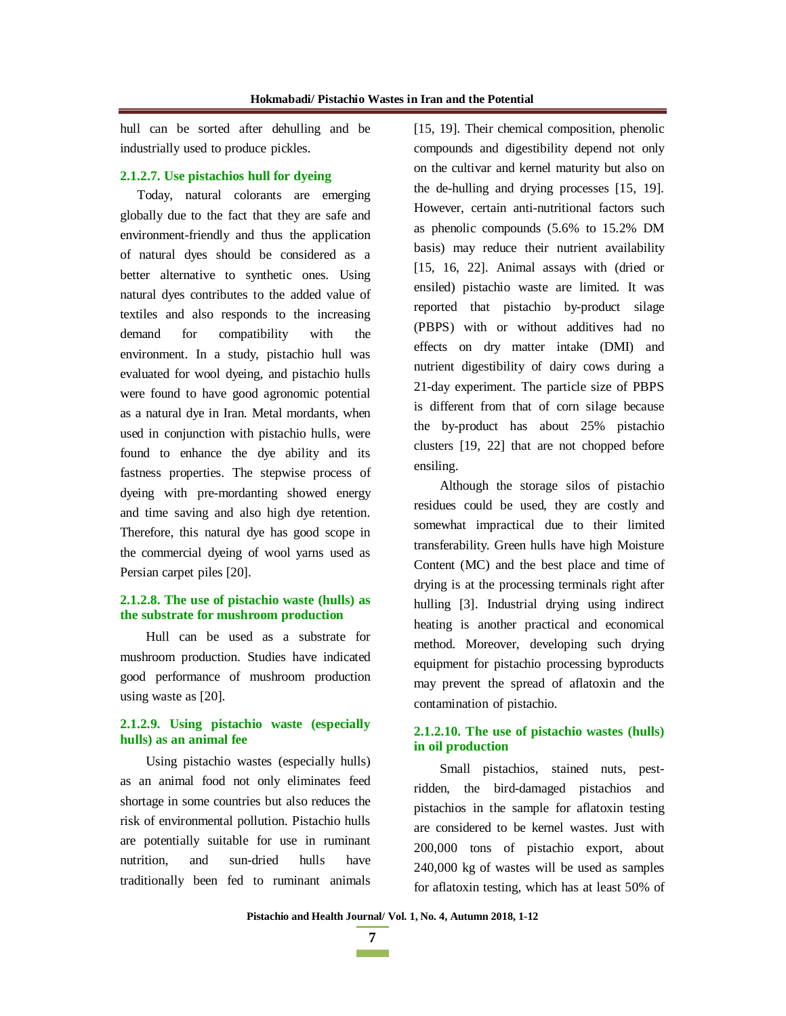hull can be sorted after dehulling and be industrially used to produce pickles.

### **2.1.2.7. Use pistachios hull for dyeing**

Today, natural colorants are emerging globally due to the fact that they are safe and environment-friendly and thus the application of natural dyes should be considered as a better alternative to synthetic ones. Using natural dyes contributes to the added value of textiles and also responds to the increasing demand for compatibility with the environment. In a study, pistachio hull was evaluated for wool dyeing, and pistachio hulls were found to have good agronomic potential as a natural dye in Iran. Metal mordants, when used in conjunction with pistachio hulls, were found to enhance the dye ability and its fastness properties. The stepwise process of dyeing with pre-mordanting showed energy and time saving and also high dye retention. Therefore, this natural dye has good scope in the commercial dyeing of wool yarns used as Persian carpet piles [20].

## **2.1.2.8. The use of pistachio waste (hulls) as the substrate for mushroom production**

Hull can be used as a substrate for mushroom production. Studies have indicated good performance of mushroom production using waste as [20].

## **2.1.2.9. Using pistachio waste (especially hulls) as an animal fee**

Using pistachio wastes (especially hulls) as an animal food not only eliminates feed shortage in some countries but also reduces the risk of environmental pollution. Pistachio hulls are potentially suitable for use in ruminant nutrition, and sun-dried hulls have traditionally been fed to ruminant animals

[15, 19]. Their chemical composition, phenolic compounds and digestibility depend not only on the cultivar and kernel maturity but also on the de-hulling and drying processes [15, 19]. However, certain anti-nutritional factors such as phenolic compounds (5.6% to 15.2% DM basis) may reduce their nutrient availability [15, 16, 22]. Animal assays with (dried or ensiled) pistachio waste are limited. It was reported that pistachio by-product silage (PBPS) with or without additives had no effects on dry matter intake (DMI) and nutrient digestibility of dairy cows during a 21-day experiment. The particle size of PBPS is different from that of corn silage because the by-product has about 25% pistachio clusters [19, 22] that are not chopped before ensiling.

Although the storage silos of pistachio residues could be used, they are costly and somewhat impractical due to their limited transferability. Green hulls have high Moisture Content (MC) and the best place and time of drying is at the processing terminals right after hulling [3]. Industrial drying using indirect heating is another practical and economical method. Moreover, developing such drying equipment for pistachio processing byproducts may prevent the spread of aflatoxin and the contamination of pistachio.

### **2.1.2.10. The use of pistachio wastes (hulls) in oil production**

Small pistachios, stained nuts, pestridden, the bird-damaged pistachios and pistachios in the sample for aflatoxin testing are considered to be kernel wastes. Just with 200,000 tons of pistachio export, about 240,000 kg of wastes will be used as samples for aflatoxin testing, which has at least 50% of

**7 The Common**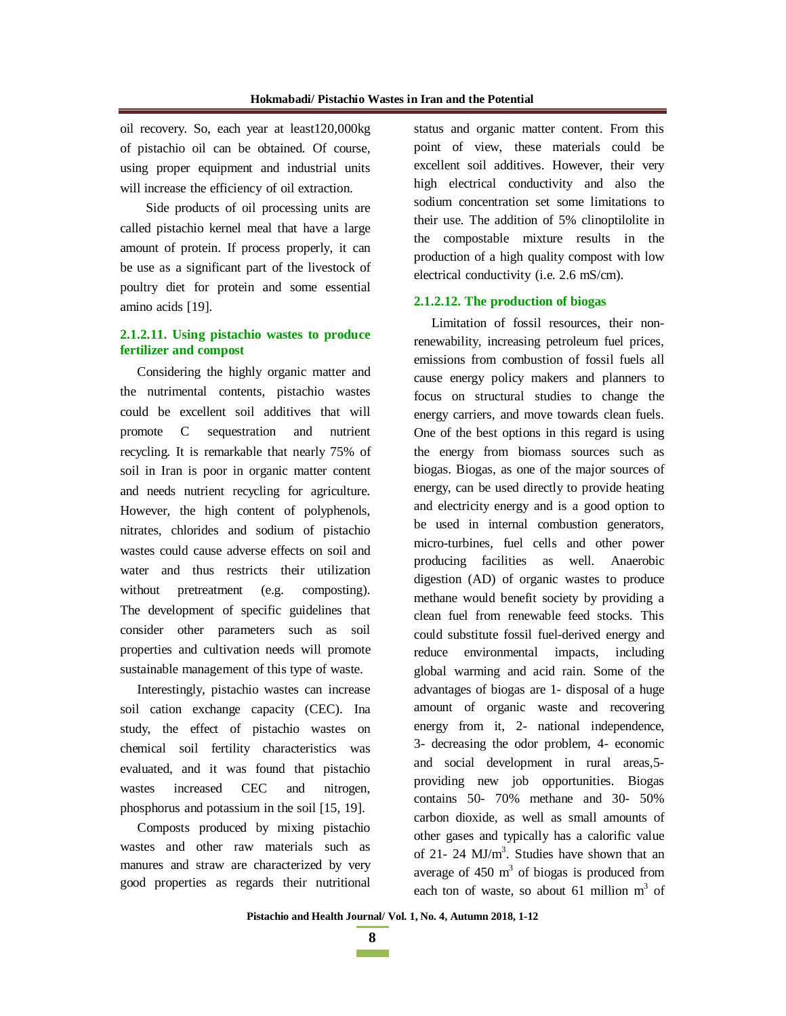oil recovery. So, each year at least120,000kg of pistachio oil can be obtained. Of course, using proper equipment and industrial units will increase the efficiency of oil extraction.

Side products of oil processing units are called pistachio kernel meal that have a large amount of protein. If process properly, it can be use as a significant part of the livestock of poultry diet for protein and some essential amino acids [19].

### **2.1.2.11. Using pistachio wastes to produce fertilizer and compost**

Considering the highly organic matter and the nutrimental contents, pistachio wastes could be excellent soil additives that will promote C sequestration and nutrient recycling. It is remarkable that nearly 75% of soil in Iran is poor in organic matter content and needs nutrient recycling for agriculture. However, the high content of polyphenols, nitrates, chlorides and sodium of pistachio wastes could cause adverse effects on soil and water and thus restricts their utilization without pretreatment (e.g. composting). The development of specific guidelines that consider other parameters such as soil properties and cultivation needs will promote sustainable management of this type of waste.

Interestingly, pistachio wastes can increase soil cation exchange capacity (CEC). Ina study, the effect of pistachio wastes on chemical soil fertility characteristics was evaluated, and it was found that pistachio wastes increased CEC and nitrogen, phosphorus and potassium in the soil [15, 19].

Composts produced by mixing pistachio wastes and other raw materials such as manures and straw are characterized by very good properties as regards their nutritional status and organic matter content. From this point of view, these materials could be excellent soil additives. However, their very high electrical conductivity and also the sodium concentration set some limitations to their use. The addition of 5% clinoptilolite in the compostable mixture results in the production of a high quality compost with low electrical conductivity (i.e. 2.6 mS/cm).

#### **2.1.2.12. The production of biogas**

Limitation of fossil resources, their nonrenewability, increasing petroleum fuel prices, emissions from combustion of fossil fuels all cause energy policy makers and planners to focus on structural studies to change the energy carriers, and move towards clean fuels. One of the best options in this regard is using the energy from biomass sources such as biogas. Biogas, as one of the major sources of energy, can be used directly to provide heating and electricity energy and is a good option to be used in internal combustion generators, micro-turbines, fuel cells and other power producing facilities as well. Anaerobic digestion (AD) of organic wastes to produce methane would benefit society by providing a clean fuel from renewable feed stocks. This could substitute fossil fuel-derived energy and reduce environmental impacts, including global warming and acid rain. Some of the advantages of biogas are 1- disposal of a huge amount of organic waste and recovering energy from it, 2- national independence, 3- decreasing the odor problem, 4- economic and social development in rural areas,5 providing new job opportunities. Biogas contains 50- 70% methane and 30- 50% carbon dioxide, as well as small amounts of other gases and typically has a calorific value of 21- 24  $MJ/m<sup>3</sup>$ . Studies have shown that an average of  $450 \text{ m}^3$  of biogas is produced from each ton of waste, so about 61 million  $m<sup>3</sup>$  of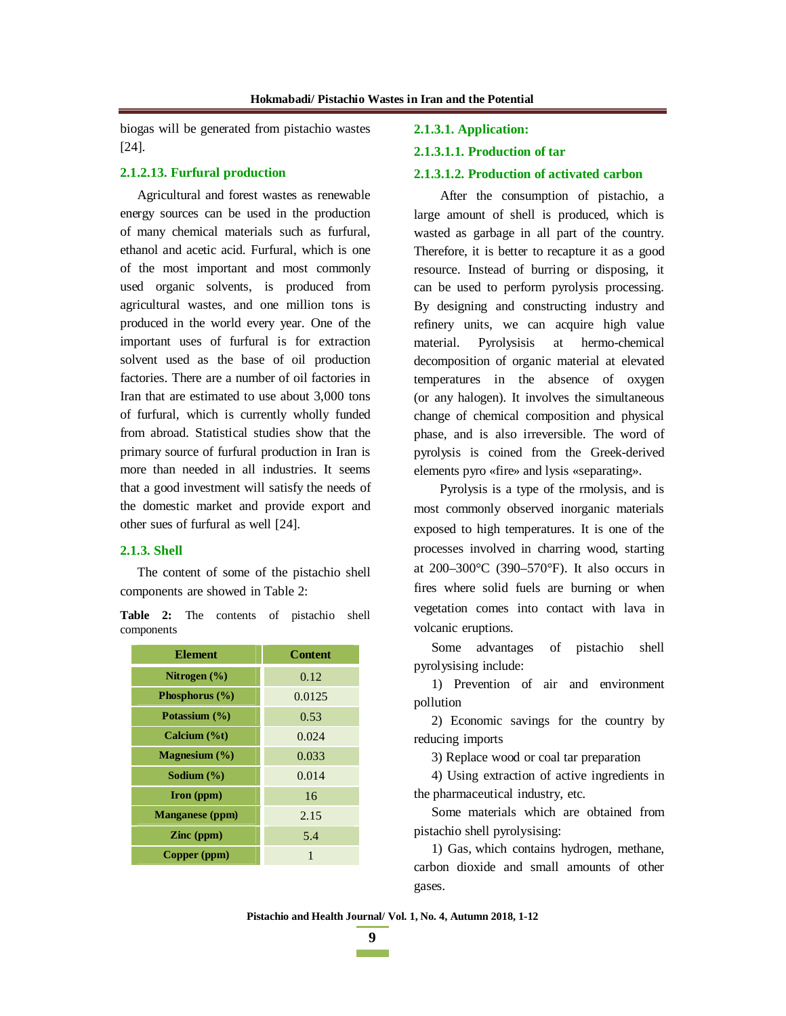biogas will be generated from pistachio wastes [24].

#### **2.1.2.13. Furfural production**

Agricultural and forest wastes as renewable energy sources can be used in the production of many chemical materials such as furfural, ethanol and acetic acid. Furfural, which is one of the most important and most commonly used organic solvents, is produced from agricultural wastes, and one million tons is produced in the world every year. One of the important uses of furfural is for extraction solvent used as the base of oil production factories. There are a number of oil factories in Iran that are estimated to use about 3,000 tons of furfural, which is currently wholly funded from abroad. Statistical studies show that the primary source of furfural production in Iran is more than needed in all industries. It seems that a good investment will satisfy the needs of the domestic market and provide export and other sues of furfural as well [24].

### **2.1.3. Shell**

The content of some of the pistachio shell components are showed in Table 2:

**Table 2:** The contents of pistachio shell components

| <b>Element</b>         | <b>Content</b> |  |  |  |
|------------------------|----------------|--|--|--|
| Nitrogen $(\% )$       | 0.12           |  |  |  |
| Phosphorus (%)         | 0.0125         |  |  |  |
| Potassium (%)          | 0.53           |  |  |  |
| Calcium (%t)           | 0.024          |  |  |  |
| Magnesium (%)          | 0.033          |  |  |  |
| Sodium $(\% )$         | 0.014          |  |  |  |
| $\Gamma$ (ppm)         | 16             |  |  |  |
| <b>Manganese</b> (ppm) | 2.15           |  |  |  |
| $\mathbf{Z}$ inc (ppm) | 5.4            |  |  |  |
| Copper (ppm)           | 1              |  |  |  |

#### **2.1.3.1. Application:**

#### **2.1.3.1.1. Production of tar**

#### **2.1.3.1.2. Production of activated carbon**

After the consumption of pistachio, a large amount of shell is produced, which is wasted as garbage in all part of the country. Therefore, it is better to recapture it as a good resource. Instead of burring or disposing, it can be used to perform pyrolysis processing. By designing and constructing industry and refinery units, we can acquire high value material. Pyrolysisis at hermo-chemical decomposition of organic material at elevated temperatures in the absence of oxygen (or any halogen). It involves the simultaneous change of chemical composition and physical phase, and is also irreversible. The word of pyrolysis is coined from the Greek-derived elements pyro «fire» and lysis «separating».

Pyrolysis is a type of the rmolysis, and is most commonly observed inorganic materials exposed to high temperatures. It is one of the processes involved in charring wood, starting at 200–300°C (390–570°F). It also occurs in fires where solid fuels are burning or when vegetation comes into contact with lava in volcanic eruptions.

Some advantages of pistachio shell pyrolysising include:

1) Prevention of air and environment pollution

2) Economic savings for the country by reducing imports

3) Replace wood or coal tar preparation

4) Using extraction of active ingredients in the pharmaceutical industry, etc.

Some materials which are obtained from pistachio shell pyrolysising:

1) Gas, which contains hydrogen, methane, carbon dioxide and small amounts of other gases.

**Pistachio and Health Journal/ Vol. 1, No. 4, Autumn 2018, 1-12**

**9**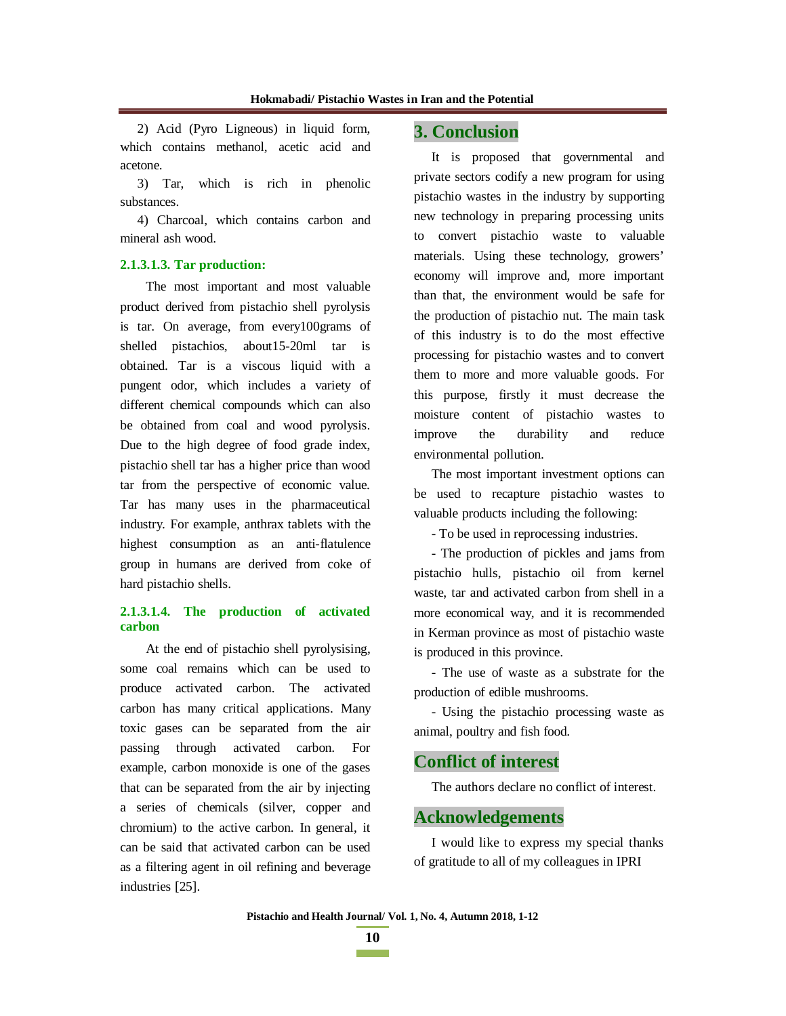2) Acid (Pyro Ligneous) in liquid form, which contains methanol, acetic acid and acetone.

3) Tar, which is rich in phenolic substances.

4) Charcoal, which contains carbon and mineral ash wood.

#### **2.1.3.1.3. Tar production:**

The most important and most valuable product derived from pistachio shell pyrolysis is tar. On average, from every100grams of shelled pistachios, about15-20ml tar is obtained. Tar is a viscous liquid with a pungent odor, which includes a variety of different chemical compounds which can also be obtained from coal and wood pyrolysis. Due to the high degree of food grade index, pistachio shell tar has a higher price than wood tar from the perspective of economic value. Tar has many uses in the pharmaceutical industry. For example, anthrax tablets with the highest consumption as an anti-flatulence group in humans are derived from coke of hard pistachio shells.

### **2.1.3.1.4. The production of activated carbon**

At the end of pistachio shell pyrolysising, some coal remains which can be used to produce activated carbon. The activated carbon has many critical applications. Many toxic gases can be separated from the air passing through activated carbon. For example, carbon monoxide is one of the gases that can be separated from the air by injecting a series of chemicals (silver, copper and chromium) to the active carbon. In general, it can be said that activated carbon can be used as a filtering agent in oil refining and beverage industries [25].

# **3. Conclusion**

It is proposed that governmental and private sectors codify a new program for using pistachio wastes in the industry by supporting new technology in preparing processing units to convert pistachio waste to valuable materials. Using these technology, growers' economy will improve and, more important than that, the environment would be safe for the production of pistachio nut. The main task of this industry is to do the most effective processing for pistachio wastes and to convert them to more and more valuable goods. For this purpose, firstly it must decrease the moisture content of pistachio wastes to improve the durability and reduce environmental pollution.

The most important investment options can be used to recapture pistachio wastes to valuable products including the following:

- To be used in reprocessing industries.

- The production of pickles and jams from pistachio hulls, pistachio oil from kernel waste, tar and activated carbon from shell in a more economical way, and it is recommended in Kerman province as most of pistachio waste is produced in this province.

- The use of waste as a substrate for the production of edible mushrooms.

- Using the pistachio processing waste as animal, poultry and fish food.

# **Conflict of interest**

The authors declare no conflict of interest.

#### **Acknowledgements**

I would like to express my special thanks of gratitude to all of my colleagues in IPRI

**Pistachio and Health Journal/ Vol. 1, No. 4, Autumn 2018, 1-12**

**10 The Common**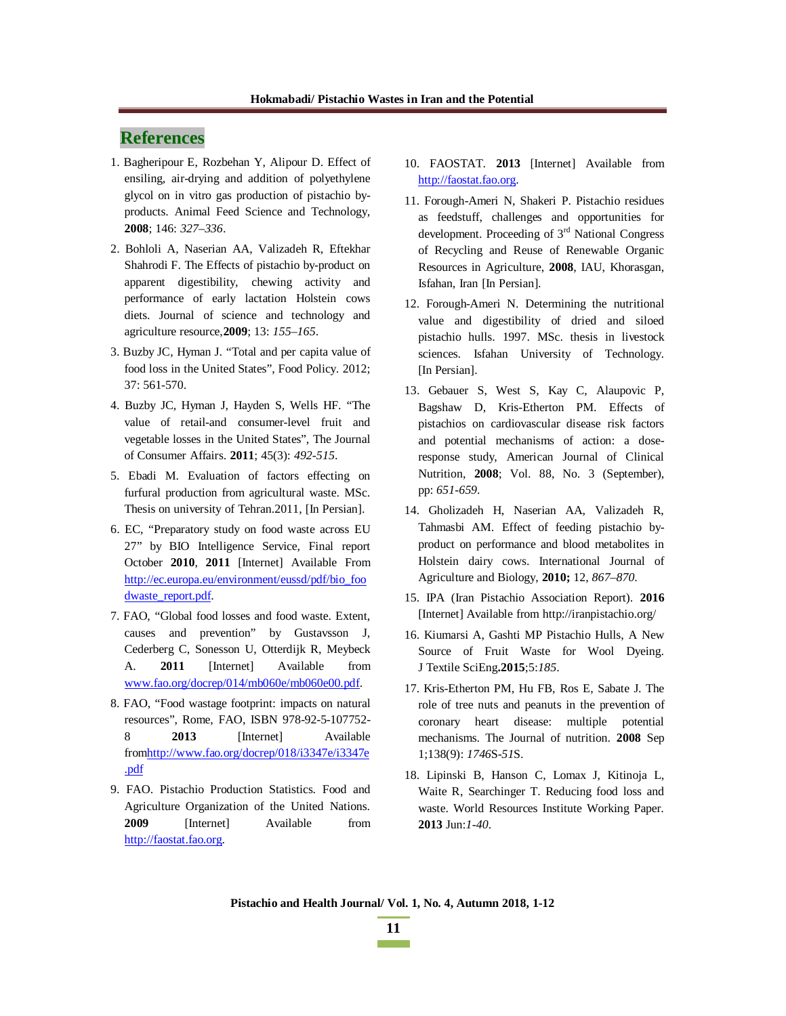# **References**

- 1. Bagheripour E, Rozbehan Y, Alipour D. Effect of ensiling, air-drying and addition of polyethylene glycol on in vitro gas production of pistachio byproducts. Animal Feed Science and Technology, **2008**; 146: *327–336*.
- 2. Bohloli A, Naserian AA, Valizadeh R, Eftekhar Shahrodi F. The Effects of pistachio by-product on apparent digestibility, chewing activity and performance of early lactation Holstein cows diets. Journal of science and technology and agriculture resource,**2009**; 13: *155–165*.
- 3. Buzby JC, Hyman J. "Total and per capita value of food loss in the United States", Food Policy. 2012; 37: 561-570.
- 4. Buzby JC, Hyman J, Hayden S, Wells HF. "The value of retail-and consumer-level fruit and vegetable losses in the United States", The Journal of Consumer Affairs. **2011**; 45(3): *492-515*.
- 5. Ebadi M. Evaluation of factors effecting on furfural production from agricultural waste. MSc. Thesis on university of Tehran.2011, [In Persian].
- 6. EC, "Preparatory study on food waste across EU 27" by BIO Intelligence Service, Final report October **2010**, **2011** [Internet] Available From http://ec.europa.eu/environment/eussd/pdf/bio\_foo dwaste\_report.pdf.
- 7. FAO, "Global food losses and food waste. Extent, causes and prevention" by Gustavsson J, Cederberg C, Sonesson U, Otterdijk R, Meybeck A. **2011** [Internet] Available from www.fao.org/docrep/014/mb060e/mb060e00.pdf.
- 8. FAO, "Food wastage footprint: impacts on natural resources", Rome, FAO, ISBN 978-92-5-107752- 8 **2013** [Internet] Available fromhttp://www.fao.org/docrep/018/i3347e/i3347e .pdf
- 9. FAO. Pistachio Production Statistics. Food and Agriculture Organization of the United Nations. **2009** [Internet] Available from http://faostat.fao.org.
- 10. FAOSTAT. **2013** [Internet] Available from http://faostat.fao.org.
- 11. Forough-Ameri N, Shakeri P. Pistachio residues as feedstuff, challenges and opportunities for development. Proceeding of 3<sup>rd</sup> National Congress of Recycling and Reuse of Renewable Organic Resources in Agriculture, **2008**, IAU, Khorasgan, Isfahan, Iran [In Persian].
- 12. Forough-Ameri N. Determining the nutritional value and digestibility of dried and siloed pistachio hulls. 1997. MSc. thesis in livestock sciences. Isfahan University of Technology. [In Persian].
- 13. Gebauer S, West S, Kay C, Alaupovic P, Bagshaw D, Kris-Etherton PM. Effects of pistachios on cardiovascular disease risk factors and potential mechanisms of action: a doseresponse study, American Journal of Clinical Nutrition, **2008**; Vol. 88, No. 3 (September), pp: *651-659*.
- 14. Gholizadeh H, Naserian AA, Valizadeh R, Tahmasbi AM. Effect of feeding pistachio byproduct on performance and blood metabolites in Holstein dairy cows. International Journal of Agriculture and Biology, **2010;** 12, *867–870*.
- 15. IPA (Iran Pistachio Association Report). **2016**  [Internet] Available from http://iranpistachio.org/
- 16. Kiumarsi A, Gashti MP Pistachio Hulls, A New Source of Fruit Waste for Wool Dyeing. J Textile SciEng**.2015**;5:*185*.
- 17. Kris-Etherton PM, Hu FB, Ros E, Sabate J. The role of tree nuts and peanuts in the prevention of coronary heart disease: multiple potential mechanisms. The Journal of nutrition. **2008** Sep 1;138(9): *1746*S-*51*S.
- 18. Lipinski B, Hanson C, Lomax J, Kitinoja L, Waite R, Searchinger T. Reducing food loss and waste. World Resources Institute Working Paper. **2013** Jun:*1-40*.

**Pistachio and Health Journal/ Vol. 1, No. 4, Autumn 2018, 1-12**

**<sup>11</sup>**